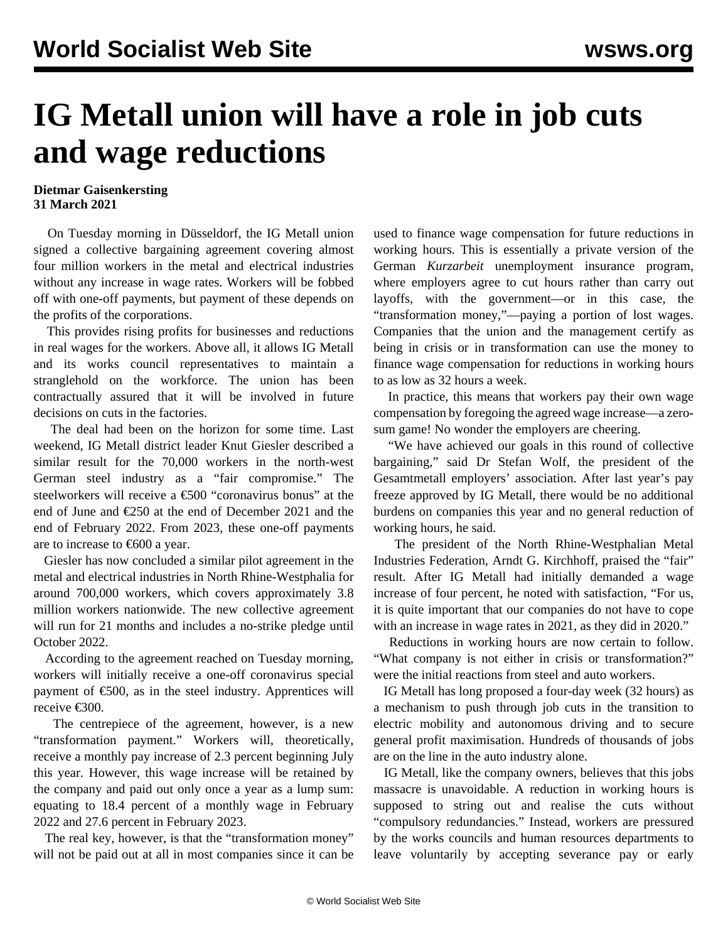## **IG Metall union will have a role in job cuts and wage reductions**

## **Dietmar Gaisenkersting 31 March 2021**

 On Tuesday morning in Düsseldorf, the IG Metall union signed a collective bargaining agreement covering almost four million workers in the metal and electrical industries without any increase in wage rates. Workers will be fobbed off with one-off payments, but payment of these depends on the profits of the corporations.

 This provides rising profits for businesses and reductions in real wages for the workers. Above all, it allows IG Metall and its works council representatives to maintain a stranglehold on the workforce. The union has been contractually assured that it will be involved in future decisions on cuts in the factories.

 The deal had been on the horizon for some time. Last weekend, IG Metall district leader Knut Giesler described a similar result for the 70,000 workers in the north-west German steel industry as a "fair compromise." The steelworkers will receive a €500 "coronavirus bonus" at the end of June and €250 at the end of December 2021 and the end of February 2022. From 2023, these one-off payments are to increase to  $\epsilon$ 600 a year.

 Giesler has now concluded a similar pilot agreement in the metal and electrical industries in North Rhine-Westphalia for around 700,000 workers, which covers approximately 3.8 million workers nationwide. The new collective agreement will run for 21 months and includes a no-strike pledge until October 2022.

 According to the agreement reached on Tuesday morning, workers will initially receive a one-off coronavirus special payment of  $\epsilon$ 500, as in the steel industry. Apprentices will receive €300.

 The centrepiece of the agreement, however, is a new "transformation payment." Workers will, theoretically, receive a monthly pay increase of 2.3 percent beginning July this year. However, this wage increase will be retained by the company and paid out only once a year as a lump sum: equating to 18.4 percent of a monthly wage in February 2022 and 27.6 percent in February 2023.

 The real key, however, is that the "transformation money" will not be paid out at all in most companies since it can be used to finance wage compensation for future reductions in working hours. This is essentially a private version of the German *Kurzarbeit* unemployment insurance program, where employers agree to cut hours rather than carry out layoffs, with the government—or in this case, the "transformation money,"—paying a portion of lost wages. Companies that the union and the management certify as being in crisis or in transformation can use the money to finance wage compensation for reductions in working hours to as low as 32 hours a week.

 In practice, this means that workers pay their own wage compensation by foregoing the agreed wage increase—a zerosum game! No wonder the employers are cheering.

 "We have achieved our goals in this round of collective bargaining," said Dr Stefan Wolf, the president of the Gesamtmetall employers' association. After last year's pay freeze approved by IG Metall, there would be no additional burdens on companies this year and no general reduction of working hours, he said.

 The president of the North Rhine-Westphalian Metal Industries Federation, Arndt G. Kirchhoff, praised the "fair" result. After IG Metall had initially demanded a wage increase of four percent, he noted with satisfaction, "For us, it is quite important that our companies do not have to cope with an increase in wage rates in 2021, as they did in 2020."

 Reductions in working hours are now certain to follow. "What company is not either in crisis or transformation?" were the initial reactions from steel and auto workers.

 IG Metall has long proposed a four-day week (32 hours) as a mechanism to push through job cuts in the transition to electric mobility and autonomous driving and to secure general profit maximisation. Hundreds of thousands of jobs are on the line in the auto industry alone.

 IG Metall, like the company owners, believes that this jobs massacre is unavoidable. A reduction in working hours is supposed to string out and realise the cuts without "compulsory redundancies." Instead, workers are pressured by the works councils and human resources departments to leave voluntarily by accepting severance pay or early